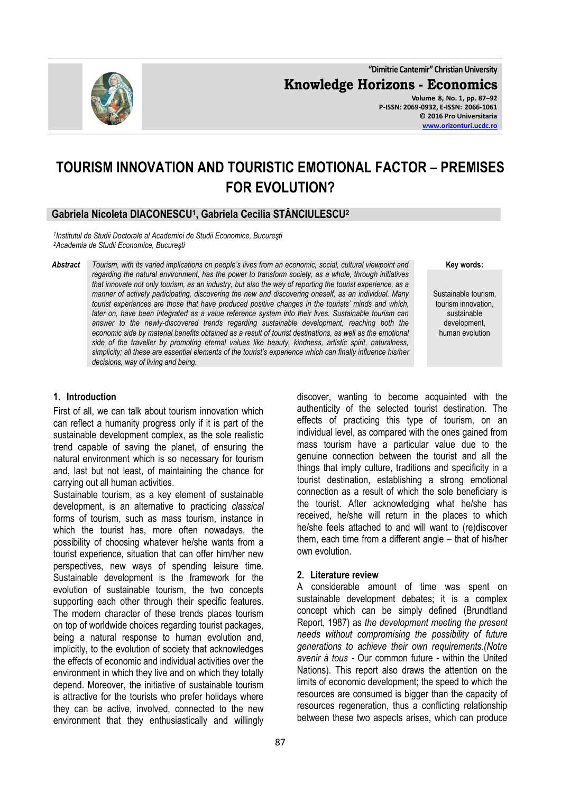**"Dimitrie Cantemir" Christian University Knowledge Horizons - Economics Volume 8, No. 1, pp. 87–92 P-ISSN: 2069-0932, E-ISSN: 2066-1061 © 2016 Pro Universitaria [www.orizonturi.ucdc.ro](http://www.orizonturi.ucdc.ro/)**



# **Gabriela Nicoleta DIACONESCU<sup>1</sup> , Gabriela Cecilia STĂNCIULESCU<sup>2</sup>**

*1 Institutul de Studii Doctorale al Academiei de Studii Economice, Bucureşti <sup>2</sup>Academia de Studii Economice, Bucureşti*

*Abstract Tourism, with its varied implications on people's lives from an economic, social, cultural viewpoint and regarding the natural environment, has the power to transform society, as a whole, through initiatives that innovate not only tourism, as an industry, but also the way of reporting the tourist experience, as a manner of actively participating, discovering the new and discovering oneself, as an individual. Many tourist experiences are those that have produced positive changes in the tourists' minds and which, later on, have been integrated as a value reference system into their lives. Sustainable tourism can answer to the newly-discovered trends regarding sustainable development, reaching both the economic side by material benefits obtained as a result of tourist destinations, as well as the emotional side of the traveller by promoting eternal values like beauty, kindness, artistic spirit, naturalness, simplicity; all these are essential elements of the tourist's experience which can finally influence his/her decisions, way of living and being.* 

**Key words:**

Sustainable tourism, tourism innovation, sustainable development, human evolution

### **1. Introduction**

First of all, we can talk about tourism innovation which can reflect a humanity progress only if it is part of the sustainable development complex, as the sole realistic trend capable of saving the planet, of ensuring the natural environment which is so necessary for tourism and, last but not least, of maintaining the chance for carrying out all human activities.

Sustainable tourism, as a key element of sustainable development, is an alternative to practicing *classical* forms of tourism, such as mass tourism, instance in which the tourist has, more often nowadays, the possibility of choosing whatever he/she wants from a tourist experience, situation that can offer him/her new perspectives, new ways of spending leisure time. Sustainable development is the framework for the evolution of sustainable tourism, the two concepts supporting each other through their specific features. The modern character of these trends places tourism on top of worldwide choices regarding tourist packages, being a natural response to human evolution and, implicitly, to the evolution of society that acknowledges the effects of economic and individual activities over the environment in which they live and on which they totally depend. Moreover, the initiative of sustainable tourism is attractive for the tourists who prefer holidays where they can be active, involved, connected to the new environment that they enthusiastically and willingly discover, wanting to become acquainted with the authenticity of the selected tourist destination. The effects of practicing this type of tourism, on an individual level, as compared with the ones gained from mass tourism have a particular value due to the genuine connection between the tourist and all the things that imply culture, traditions and specificity in a tourist destination, establishing a strong emotional connection as a result of which the sole beneficiary is the tourist. After acknowledging what he/she has received, he/she will return in the places to which he/she feels attached to and will want to (re)discover them, each time from a different angle – that of his/her own evolution.

#### **2. Literature review**

A considerable amount of time was spent on sustainable development debates; it is a complex concept which can be simply defined (Brundtland Report, 1987) as *the development meeting the present needs without compromising the possibility of future generations to achieve their own requirements.(Notre avenir à tous -* Our common future - within the United Nations). This report also draws the attention on the limits of economic development; the speed to which the resources are consumed is bigger than the capacity of resources regeneration, thus a conflicting relationship between these two aspects arises, which can produce

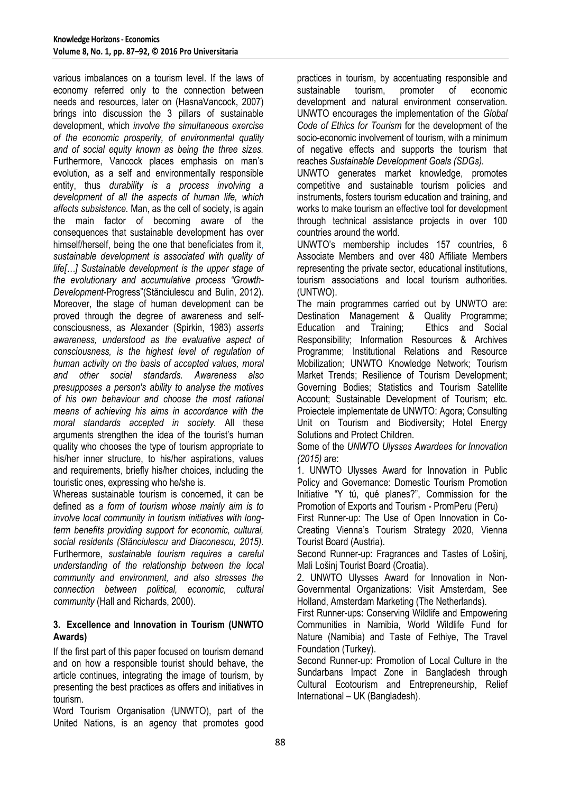various imbalances on a tourism level. If the laws of economy referred only to the connection between needs and resources, later on (HasnaVancock, 2007) brings into discussion the 3 pillars of sustainable development, which *involve the simultaneous exercise of the economic prosperity, of environmental quality and of social equity known as being the three sizes.*  Furthermore, Vancock places emphasis on man's evolution, as a self and environmentally responsible entity, thus *durability is a process involving a development of all the aspects of human life, which affects subsistence.* Man, as the cell of society, is again the main factor of becoming aware of the consequences that sustainable development has over himself/herself, being the one that beneficiates from it, *sustainable development is associated with quality of life[…] Sustainable development is the upper stage of the evolutionary and accumulative process "Growth-Development-*Progress"(Stănciulescu and Bulin, 2012). Moreover, the stage of human development can be proved through the degree of awareness and selfconsciousness, as Alexander (Spirkin, 1983) *asserts awareness, understood as the evaluative aspect of consciousness, is the highest level of regulation of human activity on the basis of accepted values, moral and other social standards. Awareness also presupposes a person's ability to analyse the motives of his own behaviour and choose the most rational means of achieving his aims in accordance with the moral standards accepted in society.* All these arguments strengthen the idea of the tourist's human quality who chooses the type of tourism appropriate to his/her inner structure, to his/her aspirations, values and requirements, briefly his/her choices, including the touristic ones, expressing who he/she is.

Whereas sustainable tourism is concerned, it can be defined as *a form of tourism whose mainly aim is to involve local community in tourism initiatives with longterm benefits providing support for economic, cultural, social residents (Stănciulescu and Diaconescu, 2015).* Furthermore, *sustainable tourism requires a careful understanding of the relationship between the local community and environment, and also stresses the connection between political, economic, cultural community* (Hall and Richards, 2000).

### **3. Excellence and Innovation in Tourism (UNWTO Awards)**

If the first part of this paper focused on tourism demand and on how a responsible tourist should behave, the article continues, integrating the image of tourism, by presenting the best practices as offers and initiatives in tourism.

Word Tourism Organisation (UNWTO), part of the United Nations, is an agency that promotes good practices in tourism, by accentuating responsible and sustainable tourism, promoter of economic development and natural environment conservation. UNWTO encourages the implementation of the *Global Code of Ethics for Tourism* for the development of the socio-economic involvement of tourism, with a minimum of negative effects and supports the tourism that reaches *Sustainable Development Goals (SDGs).*

UNWTO generates market knowledge, promotes competitive and sustainable tourism policies and instruments, fosters tourism education and training, and works to make tourism an effective tool for development through technical assistance projects in over 100 countries around the world.

UNWTO's membership includes 157 countries, 6 Associate Members and over 480 Affiliate Members representing the private sector, educational institutions, tourism associations and local tourism authorities. (UNTWO).

The main programmes carried out by UNWTO are: Destination Management & Quality Programme;<br>Education and Training: Ethics and Social Education and Training; Responsibility; Information Resources & Archives Programme; Institutional Relations and Resource Mobilization; UNWTO Knowledge Network; Tourism Market Trends; Resilience of Tourism Development; Governing Bodies; Statistics and Tourism Satellite Account; Sustainable Development of Tourism; etc. Proiectele implementate de UNWTO: Agora; Consulting Unit on Tourism and Biodiversity; Hotel Energy Solutions and Protect Children.

Some of the *UNWTO Ulysses Awardees for Innovation (2015)* are:

1. UNWTO Ulysses Award for Innovation in Public Policy and Governance: Domestic Tourism Promotion Initiative "Y tú, qué planes?", Commission for the Promotion of Exports and Tourism - PromPeru (Peru)

First Runner-up: The Use of Open Innovation in Co-Creating Vienna's Tourism Strategy 2020, Vienna Tourist Board (Austria).

Second Runner-up: Fragrances and Tastes of Lošinj, Mali Lošinj Tourist Board (Croatia).

2. UNWTO Ulysses Award for Innovation in Non-Governmental Organizations: Visit Amsterdam, See Holland, Amsterdam Marketing (The Netherlands).

First Runner-ups: Conserving Wildlife and Empowering Communities in Namibia, World Wildlife Fund for Nature (Namibia) and Taste of Fethiye, The Travel Foundation (Turkey).

Second Runner-up: Promotion of Local Culture in the Sundarbans Impact Zone in Bangladesh through Cultural Ecotourism and Entrepreneurship, Relief International – UK (Bangladesh).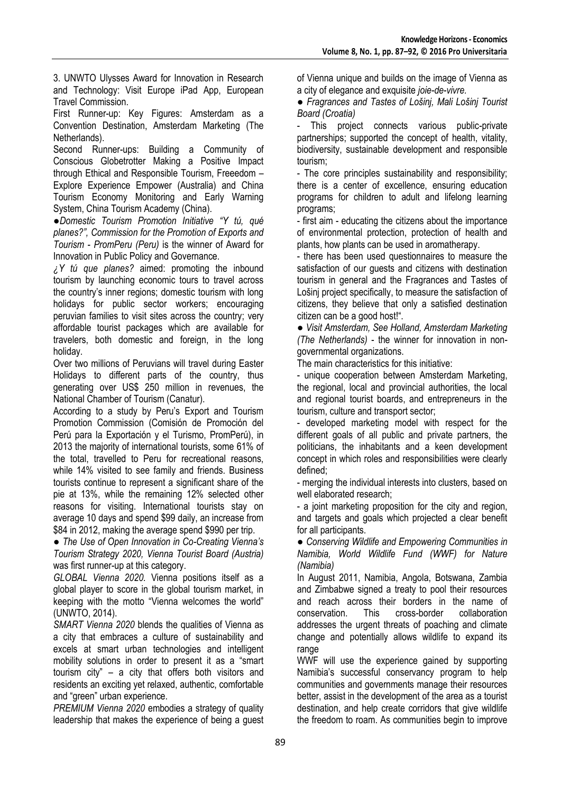3. UNWTO Ulysses Award for Innovation in Research and Technology: Visit Europe iPad App, European Travel Commission.

First Runner-up: Key Figures: Amsterdam as a Convention Destination, Amsterdam Marketing (The Netherlands).

Second Runner-ups: Building a Community of Conscious Globetrotter Making a Positive Impact through Ethical and Responsible Tourism, Freeedom – Explore Experience Empower (Australia) and China Tourism Economy Monitoring and Early Warning System, China Tourism Academy (China).

**●***Domestic Tourism Promotion Initiative "Y tú, qué planes?", Commission for the Promotion of Exports and Tourism - PromPeru (Peru)* is the winner of Award for Innovation in Public Policy and Governance.

*¿Y tú que planes?* aimed: promoting the inbound tourism by launching economic tours to travel across the country's inner regions; domestic tourism with long holidays for public sector workers; encouraging peruvian families to visit sites across the country; very affordable tourist packages which are available for travelers, both domestic and foreign, in the long holiday.

Over two millions of Peruvians will travel during Easter Holidays to different parts of the country, thus generating over US\$ 250 million in revenues, the National Chamber of Tourism (Canatur).

According to a study by Peru's Export and Tourism Promotion Commission (Comisión de Promoción del Perú para la Exportación y el Turismo, PromPerú), in 2013 the majority of international tourists, some 61% of the total, travelled to Peru for recreational reasons, while 14% visited to see family and friends. Business tourists continue to represent a significant share of the pie at 13%, while the remaining 12% selected other reasons for visiting. International tourists stay on average 10 days and spend \$99 daily, an increase from \$84 in 2012, making the average spend \$990 per trip.

**●** *The Use of Open Innovation in Co-Creating Vienna's Tourism Strategy 2020, Vienna Tourist Board (Austria)* was first runner-up at this category.

*GLOBAL Vienna 2020.* Vienna positions itself as a global player to score in the global tourism market, in keeping with the motto "Vienna welcomes the world" (UNWTO, 2014).

*SMART Vienna 2020* blends the qualities of Vienna as a city that embraces a culture of sustainability and excels at smart urban technologies and intelligent mobility solutions in order to present it as a "smart tourism city" – a city that offers both visitors and residents an exciting yet relaxed, authentic, comfortable and "green" urban experience.

*PREMIUM Vienna 2020* embodies a strategy of quality leadership that makes the experience of being a guest of Vienna unique and builds on the image of Vienna as a city of elegance and exquisite *joie-de-vivre.*

**●** *Fragrances and Tastes of Lošinj, Mali Lošinj Tourist Board (Croatia)*

This project connects various public-private partnerships; supported the concept of health, vitality, biodiversity, sustainable development and responsible tourism;

- The core principles sustainability and responsibility; there is a center of excellence, ensuring education programs for children to adult and lifelong learning programs;

- first aim - educating the citizens about the importance of environmental protection, protection of health and plants, how plants can be used in aromatherapy.

- there has been used questionnaires to measure the satisfaction of our guests and citizens with destination tourism in general and the Fragrances and Tastes of Lošinj project specifically, to measure the satisfaction of citizens, they believe that only a satisfied destination citizen can be a good host!".

**●** *Visit Amsterdam, See Holland, Amsterdam Marketing (The Netherlands)* - the winner for innovation in nongovernmental organizations.

The main characteristics for this initiative:

- unique cooperation between Amsterdam Marketing, the regional, local and provincial authorities, the local and regional tourist boards, and entrepreneurs in the tourism, culture and transport sector;

- developed marketing model with respect for the different goals of all public and private partners, the politicians, the inhabitants and a keen development concept in which roles and responsibilities were clearly defined;

- merging the individual interests into clusters, based on well elaborated research;

- a joint marketing proposition for the city and region, and targets and goals which projected a clear benefit for all participants.

**●** *Conserving Wildlife and Empowering Communities in Namibia, World Wildlife Fund (WWF) for Nature (Namibia)*

In August 2011, Namibia, Angola, Botswana, Zambia and Zimbabwe signed a treaty to pool their resources and reach across their borders in the name of conservation. This cross-border collaboration addresses the urgent threats of poaching and climate change and potentially allows wildlife to expand its range

WWF will use the experience gained by supporting Namibia's successful conservancy program to help communities and governments manage their resources better, assist in the development of the area as a tourist destination, and help create corridors that give wildlife the freedom to roam. As communities begin to improve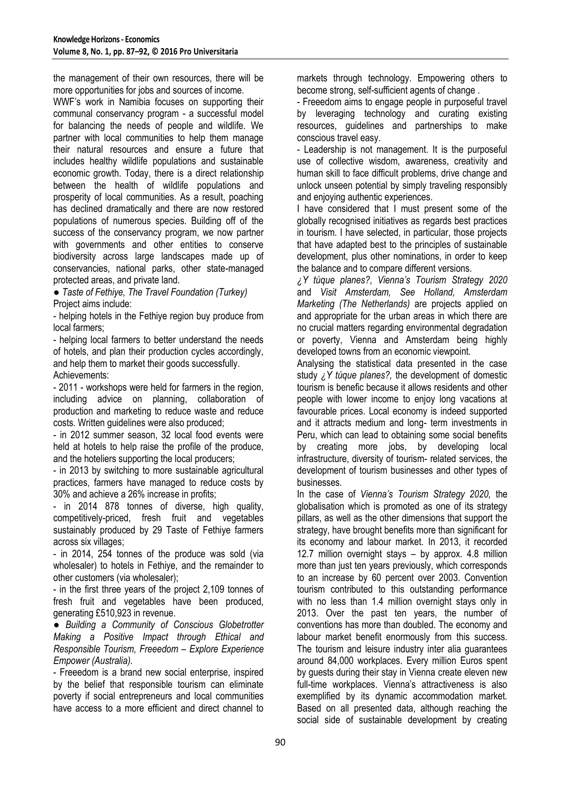the management of their own resources, there will be more opportunities for jobs and sources of income.

WWF's work in Namibia focuses on supporting their communal conservancy program - a successful model for balancing the needs of people and wildlife. We partner with local communities to help them manage their natural resources and ensure a future that includes healthy wildlife populations and sustainable economic growth. Today, there is a direct relationship between the health of wildlife populations and prosperity of local communities. As a result, poaching has declined dramatically and there are now restored populations of numerous species. Building off of the success of the conservancy program, we now partner with governments and other entities to conserve biodiversity across large landscapes made up of conservancies, national parks, other state-managed protected areas, and private land.

**●** *Taste of Fethiye, The Travel Foundation (Turkey)* Project aims include:

- helping hotels in the Fethiye region buy produce from local farmers;

- helping local farmers to better understand the needs of hotels, and plan their production cycles accordingly, and help them to market their goods successfully. Achievements:

- 2011 - workshops were held for farmers in the region, including advice on planning, collaboration of production and marketing to reduce waste and reduce costs. Written guidelines were also produced;

- in 2012 summer season, 32 local food events were held at hotels to help raise the profile of the produce, and the hoteliers supporting the local producers;

- in 2013 by switching to more sustainable agricultural practices, farmers have managed to reduce costs by 30% and achieve a 26% increase in profits;

- in 2014 878 tonnes of diverse, high quality, competitively-priced, fresh fruit and vegetables sustainably produced by 29 Taste of Fethiye farmers across six villages;

- in 2014, 254 tonnes of the produce was sold (via wholesaler) to hotels in Fethiye, and the remainder to other customers (via wholesaler);

- in the first three years of the project 2,109 tonnes of fresh fruit and vegetables have been produced, generating £510,923 in revenue.

**●** *Building a Community of Conscious Globetrotter Making a Positive Impact through Ethical and Responsible Tourism, Freeedom – Explore Experience Empower (Australia).*

- Freeedom is a brand new social enterprise, inspired by the belief that responsible tourism can eliminate poverty if social entrepreneurs and local communities have access to a more efficient and direct channel to markets through technology. Empowering others to become strong, self-sufficient agents of change .

- Freeedom aims to engage people in purposeful travel by leveraging technology and curating existing resources, guidelines and partnerships to make conscious travel easy.

- Leadership is not management. It is the purposeful use of collective wisdom, awareness, creativity and human skill to face difficult problems, drive change and unlock unseen potential by simply traveling responsibly and enjoying authentic experiences.

I have considered that I must present some of the globally recognised initiatives as regards best practices in tourism. I have selected, in particular, those projects that have adapted best to the principles of sustainable development, plus other nominations, in order to keep the balance and to compare different versions.

*¿Y túque planes?*, *Vienna's Tourism Strategy 2020*  and *Visit Amsterdam, See Holland, Amsterdam Marketing (The Netherlands)* are projects applied on and appropriate for the urban areas in which there are no crucial matters regarding environmental degradation or poverty, Vienna and Amsterdam being highly developed towns from an economic viewpoint.

Analysing the statistical data presented in the case study *¿Y túque planes?,* the development of domestic tourism is benefic because it allows residents and other people with lower income to enjoy long vacations at favourable prices. Local economy is indeed supported and it attracts medium and long- term investments in Peru, which can lead to obtaining some social benefits by creating more jobs, by developing local infrastructure, diversity of tourism- related services, the development of tourism businesses and other types of businesses.

In the case of *Vienna's Tourism Strategy 2020,* the globalisation which is promoted as one of its strategy pillars, as well as the other dimensions that support the strategy, have brought benefits more than significant for its economy and labour market. In 2013, it recorded 12.7 million overnight stays – by approx. 4.8 million more than just ten years previously, which corresponds to an increase by 60 percent over 2003. Convention tourism contributed to this outstanding performance with no less than 1.4 million overnight stays only in 2013. Over the past ten years, the number of conventions has more than doubled. The economy and labour market benefit enormously from this success. The tourism and leisure industry inter alia guarantees around 84,000 workplaces. Every million Euros spent by guests during their stay in Vienna create eleven new full-time workplaces. Vienna's attractiveness is also exemplified by its dynamic accommodation market. Based on all presented data, although reaching the social side of sustainable development by creating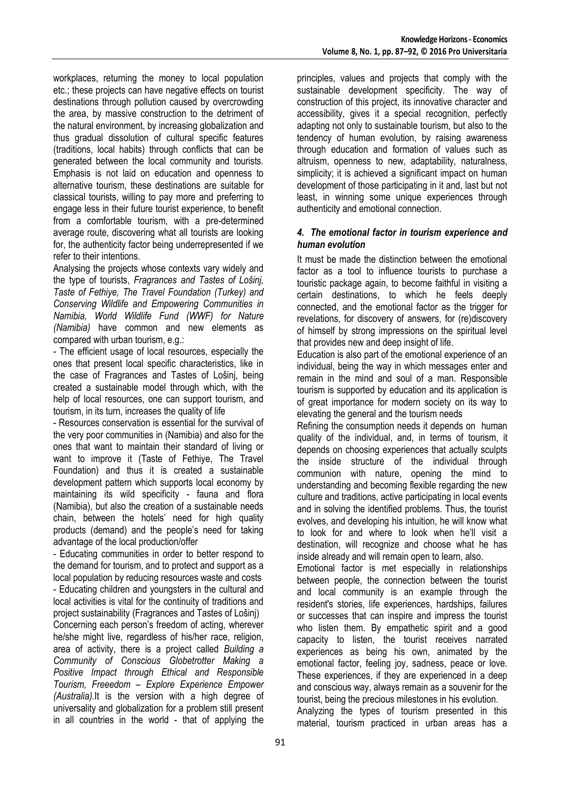workplaces, returning the money to local population etc.; these projects can have negative effects on tourist destinations through pollution caused by overcrowding the area, by massive construction to the detriment of the natural environment, by increasing globalization and thus gradual dissolution of cultural specific features (traditions, local habits) through conflicts that can be generated between the local community and tourists. Emphasis is not laid on education and openness to alternative tourism, these destinations are suitable for classical tourists, willing to pay more and preferring to engage less in their future tourist experience, to benefit from a comfortable tourism, with a pre-determined average route, discovering what all tourists are looking for, the authenticity factor being underrepresented if we refer to their intentions.

Analysing the projects whose contexts vary widely and the type of tourists, *Fragrances and Tastes of Lošinj, Taste of Fethiye, The Travel Foundation (Turkey) and Conserving Wildlife and Empowering Communities in Namibia, World Wildlife Fund (WWF) for Nature (Namibia)* have common and new elements as compared with urban tourism, e.g.:

- The efficient usage of local resources, especially the ones that present local specific characteristics, like in the case of Fragrances and Tastes of Lošinj, being created a sustainable model through which, with the help of local resources, one can support tourism, and tourism, in its turn, increases the quality of life

- Resources conservation is essential for the survival of the very poor communities in (Namibia) and also for the ones that want to maintain their standard of living or want to improve it (Taste of Fethiye, The Travel Foundation) and thus it is created a sustainable development pattern which supports local economy by maintaining its wild specificity - fauna and flora (Namibia), but also the creation of a sustainable needs chain, between the hotels' need for high quality products (demand) and the people's need for taking advantage of the local production/offer

- Educating communities in order to better respond to the demand for tourism, and to protect and support as a local population by reducing resources waste and costs - Educating children and youngsters in the cultural and local activities is vital for the continuity of traditions and project sustainability (Fragrances and Tastes of Lošinj) Concerning each person's freedom of acting, wherever he/she might live, regardless of his/her race, religion, area of activity, there is a project called *Building a Community of Conscious Globetrotter Making a Positive Impact through Ethical and Responsible Tourism, Freeedom – Explore Experience Empower (Australia).*It is the version with a high degree of universality and globalization for a problem still present in all countries in the world - that of applying the principles, values and projects that comply with the sustainable development specificity. The way of construction of this project, its innovative character and accessibility, gives it a special recognition, perfectly adapting not only to sustainable tourism, but also to the tendency of human evolution, by raising awareness through education and formation of values such as altruism, openness to new, adaptability, naturalness, simplicity; it is achieved a significant impact on human development of those participating in it and, last but not least, in winning some unique experiences through authenticity and emotional connection.

#### *4. The emotional factor in tourism experience and human evolution*

It must be made the distinction between the emotional factor as a tool to influence tourists to purchase a touristic package again, to become faithful in visiting a certain destinations, to which he feels deeply connected, and the emotional factor as the trigger for revelations, for discovery of answers, for (re)discovery of himself by strong impressions on the spiritual level that provides new and deep insight of life.

Education is also part of the emotional experience of an individual, being the way in which messages enter and remain in the mind and soul of a man. Responsible tourism is supported by education and its application is of great importance for modern society on its way to elevating the general and the tourism needs

Refining the consumption needs it depends on human quality of the individual, and, in terms of tourism, it depends on choosing experiences that actually sculpts the inside structure of the individual through communion with nature, opening the mind to understanding and becoming flexible regarding the new culture and traditions, active participating in local events and in solving the identified problems. Thus, the tourist evolves, and developing his intuition, he will know what to look for and where to look when he'll visit a destination, will recognize and choose what he has inside already and will remain open to learn, also.

Emotional factor is met especially in relationships between people, the connection between the tourist and local community is an example through the resident's stories, life experiences, hardships, failures or successes that can inspire and impress the tourist who listen them. By empathetic spirit and a good capacity to listen, the tourist receives narrated experiences as being his own, animated by the emotional factor, feeling joy, sadness, peace or love. These experiences, if they are experienced in a deep and conscious way, always remain as a souvenir for the tourist, being the precious milestones in his evolution.

Analyzing the types of tourism presented in this material, tourism practiced in urban areas has a